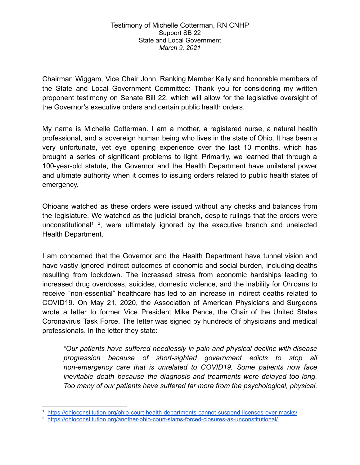Chairman Wiggam, Vice Chair John, Ranking Member Kelly and honorable members of the State and Local Government Committee: Thank you for considering my written proponent testimony on Senate Bill 22, which will allow for the legislative oversight of the Governor's executive orders and certain public health orders.

My name is Michelle Cotterman. I am a mother, a registered nurse, a natural health professional, and a sovereign human being who lives in the state of Ohio. It has been a very unfortunate, yet eye opening experience over the last 10 months, which has brought a series of significant problems to light. Primarily, we learned that through a 100-year-old statute, the Governor and the Health Department have unilateral power and ultimate authority when it comes to issuing orders related to public health states of emergency.

Ohioans watched as these orders were issued without any checks and balances from the legislature. We watched as the judicial branch, despite rulings that the orders were unconstitutional<sup>1</sup>, were ultimately ignored by the executive branch and unelected Health Department.

I am concerned that the Governor and the Health Department have tunnel vision and have vastly ignored indirect outcomes of economic and social burden, including deaths resulting from lockdown. The increased stress from economic hardships leading to increased drug overdoses, suicides, domestic violence, and the inability for Ohioans to receive "non-essential" healthcare has led to an increase in indirect deaths related to COVID19. On May 21, 2020, the Association of American Physicians and Surgeons wrote a letter to former Vice President Mike Pence, the Chair of the United States Coronavirus Task Force. The letter was signed by hundreds of physicians and medical professionals. In the letter they state:

*"Our patients have suffered needlessly in pain and physical decline with disease progression because of short-sighted government edicts to stop all non-emergency care that is unrelated to COVID19. Some patients now face inevitable death because the diagnosis and treatments were delayed too long. Too many of our patients have suffered far more from the psychological, physical,*

<sup>1</sup> <https://ohioconstitution.org/ohio-court-health-departments-cannot-suspend-licenses-over-masks/>

<sup>&</sup>lt;sup>2</sup> <https://ohioconstitution.org/another-ohio-court-slams-forced-closures-as-unconstitutional/>